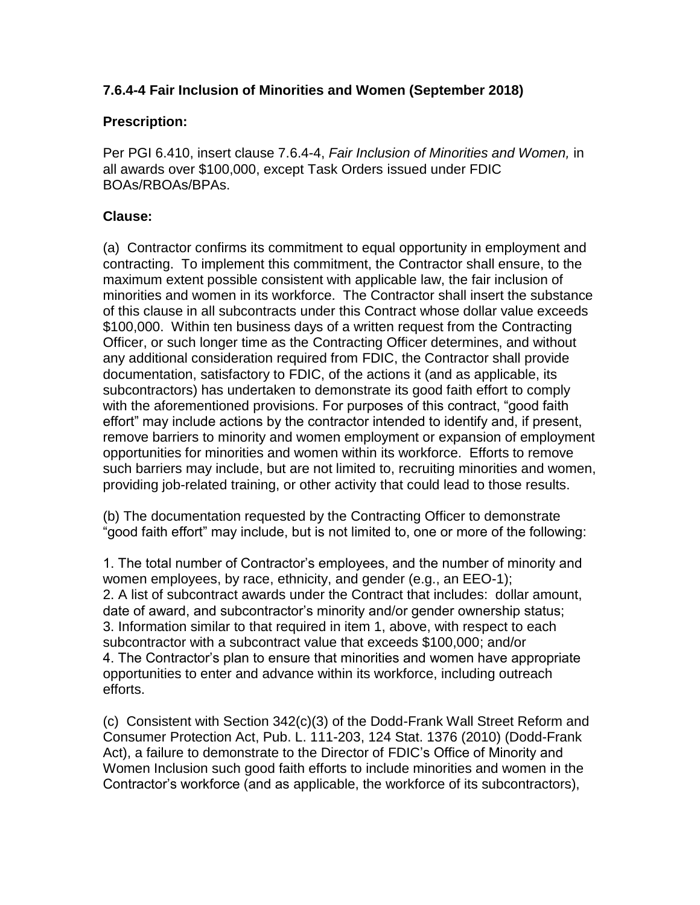## **7.6.4-4 Fair Inclusion of Minorities and Women (September 2018)**

## **Prescription:**

Per PGI 6.410, insert clause 7.6.4-4, *Fair Inclusion of Minorities and Women,* in all awards over \$100,000, except Task Orders issued under FDIC BOAs/RBOAs/BPAs.

## **Clause:**

(a) Contractor confirms its commitment to equal opportunity in employment and contracting. To implement this commitment, the Contractor shall ensure, to the maximum extent possible consistent with applicable law, the fair inclusion of minorities and women in its workforce. The Contractor shall insert the substance of this clause in all subcontracts under this Contract whose dollar value exceeds \$100,000. Within ten business days of a written request from the Contracting Officer, or such longer time as the Contracting Officer determines, and without any additional consideration required from FDIC, the Contractor shall provide documentation, satisfactory to FDIC, of the actions it (and as applicable, its subcontractors) has undertaken to demonstrate its good faith effort to comply with the aforementioned provisions. For purposes of this contract, "good faith effort" may include actions by the contractor intended to identify and, if present, remove barriers to minority and women employment or expansion of employment opportunities for minorities and women within its workforce. Efforts to remove such barriers may include, but are not limited to, recruiting minorities and women, providing job-related training, or other activity that could lead to those results.

(b) The documentation requested by the Contracting Officer to demonstrate "good faith effort" may include, but is not limited to, one or more of the following:

1. The total number of Contractor's employees, and the number of minority and women employees, by race, ethnicity, and gender (e.g., an EEO-1); 2. A list of subcontract awards under the Contract that includes: dollar amount, date of award, and subcontractor's minority and/or gender ownership status; 3. Information similar to that required in item 1, above, with respect to each subcontractor with a subcontract value that exceeds \$100,000; and/or 4. The Contractor's plan to ensure that minorities and women have appropriate opportunities to enter and advance within its workforce, including outreach efforts.

(c) Consistent with Section 342(c)(3) of the Dodd-Frank Wall Street Reform and Consumer Protection Act, Pub. L. 111-203, 124 Stat. 1376 (2010) (Dodd-Frank Act), a failure to demonstrate to the Director of FDIC's Office of Minority and Women Inclusion such good faith efforts to include minorities and women in the Contractor's workforce (and as applicable, the workforce of its subcontractors),